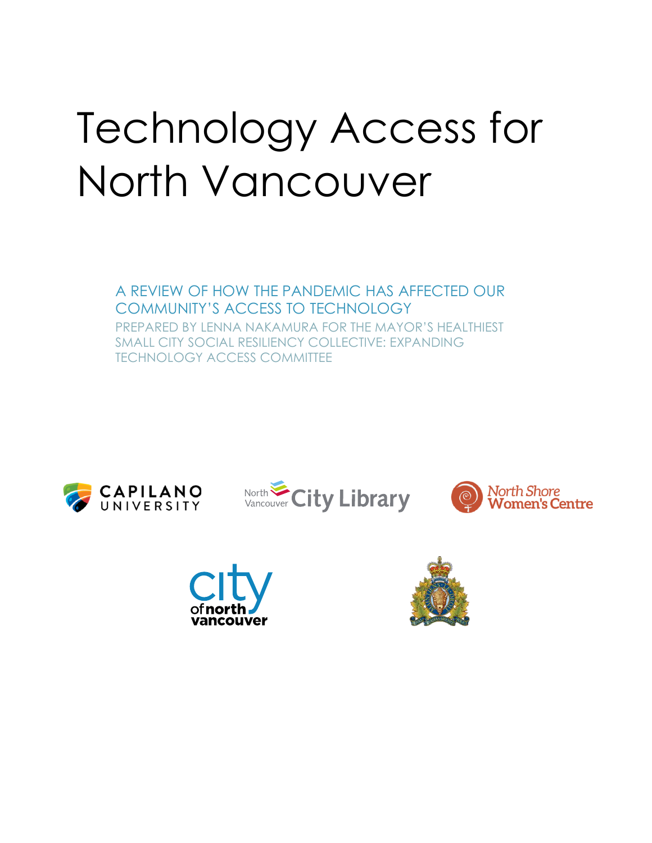# Technology Access for North Vancouver

A REVIEW OF HOW THE PANDEMIC HAS AFFECTED OUR COMMUNITY'S ACCESS TO TECHNOLOGY PREPARED BY LENNA NAKAMURA FOR THE MAYOR'S HEALTHIEST SMALL CITY SOCIAL RESILIENCY COLLECTIVE: EXPANDING TECHNOLOGY ACCESS COMMITTEE









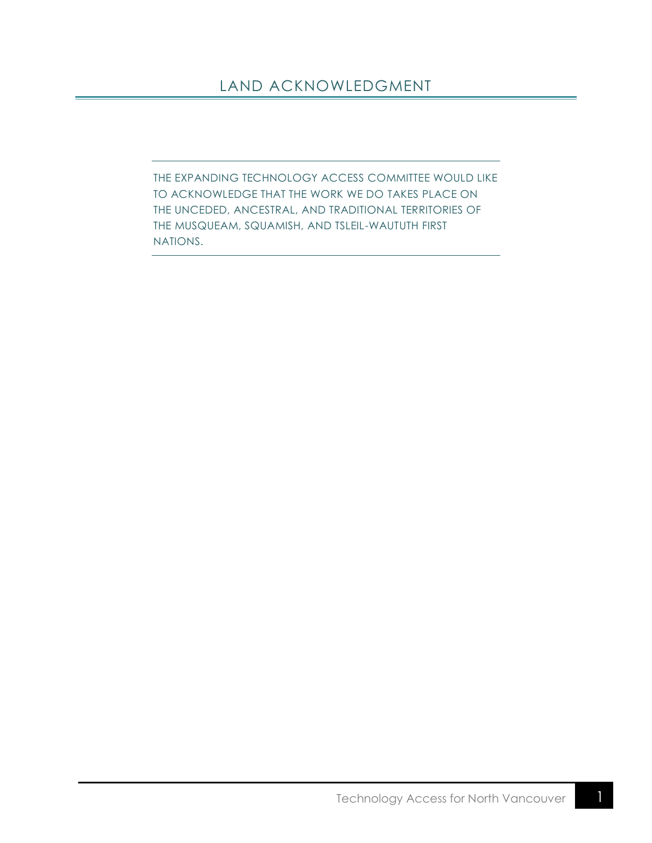# <span id="page-1-0"></span>LAND ACKNOWLEDGMENT

THE EXPANDING TECHNOLOGY ACCESS COMMITTEE WOULD LIKE TO ACKNOWLEDGE THAT THE WORK WE DO TAKES PLACE ON THE UNCEDED, ANCESTRAL, AND TRADITIONAL TERRITORIES OF THE MUSQUEAM, SQUAMISH, AND TSLEIL-WAUTUTH FIRST NATIONS.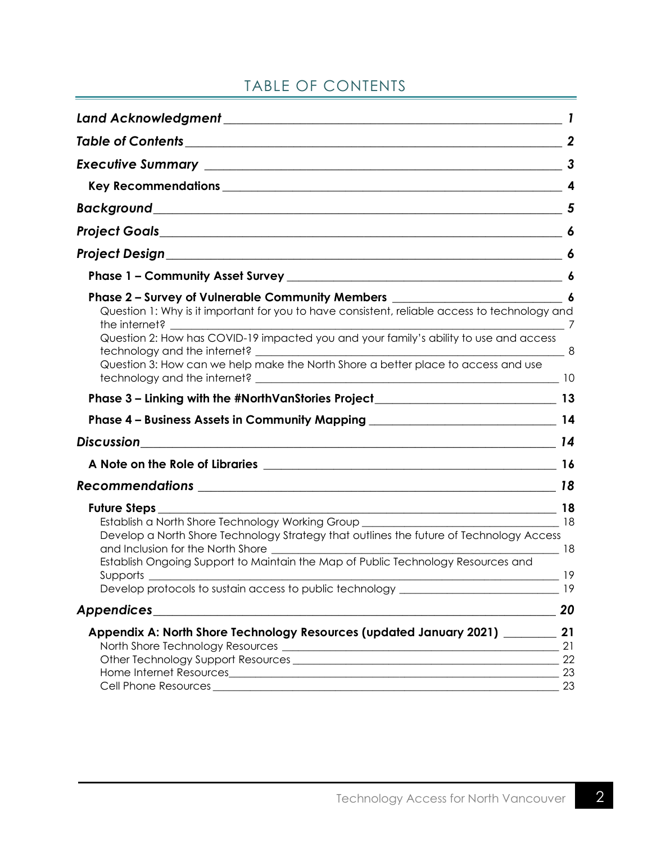# TABLE OF CONTENTS

<span id="page-2-1"></span><span id="page-2-0"></span>

| Phase 2 - Survey of Vulnerable Community Members ________________________________ 6                                          |          |
|------------------------------------------------------------------------------------------------------------------------------|----------|
| Question 1: Why is it important for you to have consistent, reliable access to technology and<br>the internet? The internet? |          |
| Question 2: How has COVID-19 impacted you and your family's ability to use and access                                        |          |
| Question 3: How can we help make the North Shore a better place to access and use                                            |          |
|                                                                                                                              |          |
|                                                                                                                              |          |
|                                                                                                                              |          |
|                                                                                                                              |          |
|                                                                                                                              |          |
|                                                                                                                              |          |
|                                                                                                                              |          |
| Develop a North Shore Technology Strategy that outlines the future of Technology Access                                      |          |
| Establish Ongoing Support to Maintain the Map of Public Technology Resources and                                             | 19       |
| Develop protocols to sustain access to public technology _______________________                                             | 19       |
| <b>Appendices</b><br><u> 1989 - Johann Barbara, margaret eta idazlea (h. 1989).</u>                                          | 20       |
| Appendix A: North Shore Technology Resources (updated January 2021) _______                                                  | 21       |
|                                                                                                                              | 21       |
|                                                                                                                              | 22       |
|                                                                                                                              | 23<br>23 |
|                                                                                                                              |          |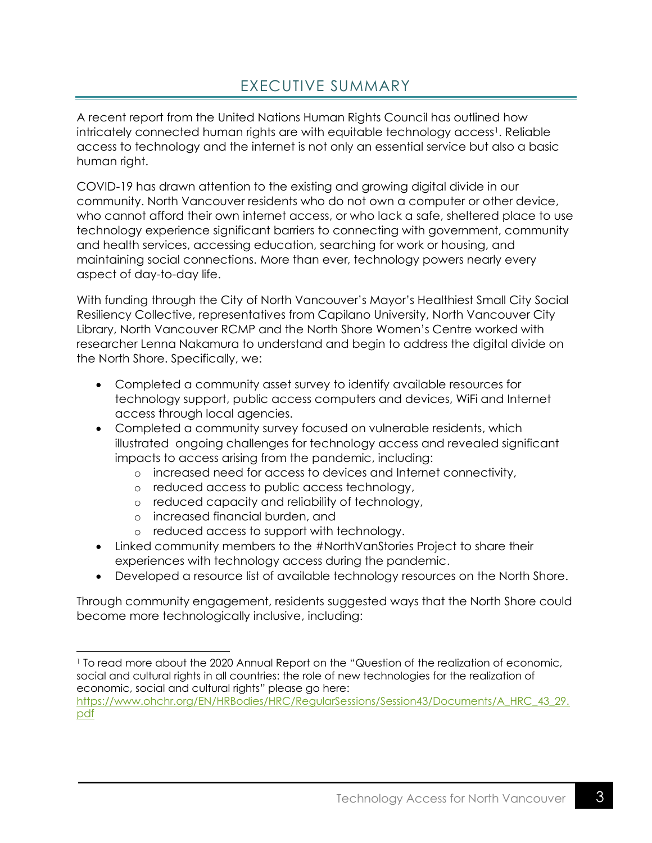# EXECUTIVE SUMMARY

A recent report from the United Nations Human Rights Council has outlined how intricately connected human rights are with equitable technology access<sup>1</sup>. Reliable access to technology and the internet is not only an essential service but also a basic human right.

COVID-19 has drawn attention to the existing and growing digital divide in our community. North Vancouver residents who do not own a computer or other device, who cannot afford their own internet access, or who lack a safe, sheltered place to use technology experience significant barriers to connecting with government, community and health services, accessing education, searching for work or housing, and maintaining social connections. More than ever, technology powers nearly every aspect of day-to-day life.

With funding through the City of North Vancouver's Mayor's Healthiest Small City Social Resiliency Collective, representatives from Capilano University, North Vancouver City Library, North Vancouver RCMP and the North Shore Women's Centre worked with researcher Lenna Nakamura to understand and begin to address the digital divide on the North Shore. Specifically, we:

- Completed a community asset survey to identify available resources for technology support, public access computers and devices, WiFi and Internet access through local agencies.
- Completed a community survey focused on vulnerable residents, which illustrated ongoing challenges for technology access and revealed significant impacts to access arising from the pandemic, including:
	- o increased need for access to devices and Internet connectivity,
	- o reduced access to public access technology,
	- o reduced capacity and reliability of technology,
	- o increased financial burden, and
	- o reduced access to support with technology.
- Linked community members to the #NorthVanStories Project to share their experiences with technology access during the pandemic.
- Developed a resource list of available technology resources on the North Shore.

Through community engagement, residents suggested ways that the North Shore could become more technologically inclusive, including:

<sup>1</sup> To read more about the 2020 Annual Report on the "Question of the realization of economic, social and cultural rights in all countries: the role of new technologies for the realization of economic, social and cultural rights" please go here:

[https://www.ohchr.org/EN/HRBodies/HRC/RegularSessions/Session43/Documents/A\\_HRC\\_43\\_29.](https://www.ohchr.org/EN/HRBodies/HRC/RegularSessions/Session43/Documents/A_HRC_43_29.pdf) [pdf](https://www.ohchr.org/EN/HRBodies/HRC/RegularSessions/Session43/Documents/A_HRC_43_29.pdf)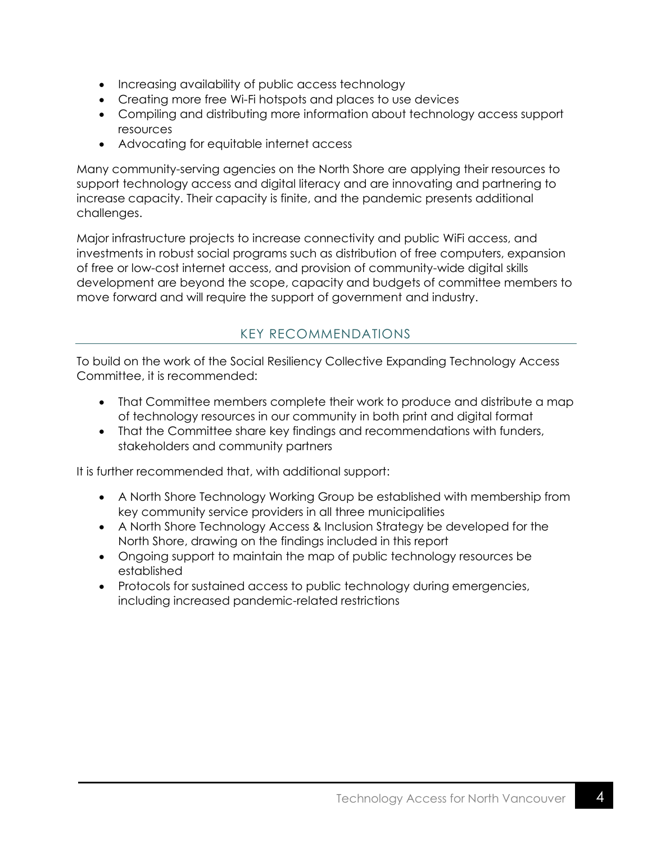- Increasing availability of public access technology
- Creating more free Wi-Fi hotspots and places to use devices
- Compiling and distributing more information about technology access support resources
- Advocating for equitable internet access

Many community-serving agencies on the North Shore are applying their resources to support technology access and digital literacy and are innovating and partnering to increase capacity. Their capacity is finite, and the pandemic presents additional challenges.

Major infrastructure projects to increase connectivity and public WiFi access, and investments in robust social programs such as distribution of free computers, expansion of free or low-cost internet access, and provision of community-wide digital skills development are beyond the scope, capacity and budgets of committee members to move forward and will require the support of government and industry.

## KEY RECOMMENDATIONS

<span id="page-4-0"></span>To build on the work of the Social Resiliency Collective Expanding Technology Access Committee, it is recommended:

- That Committee members complete their work to produce and distribute a map of technology resources in our community in both print and digital format
- That the Committee share key findings and recommendations with funders, stakeholders and community partners

It is further recommended that, with additional support:

- A North Shore Technology Working Group be established with membership from key community service providers in all three municipalities
- A North Shore Technology Access & Inclusion Strategy be developed for the North Shore, drawing on the findings included in this report
- Ongoing support to maintain the map of public technology resources be established
- Protocols for sustained access to public technology during emergencies, including increased pandemic-related restrictions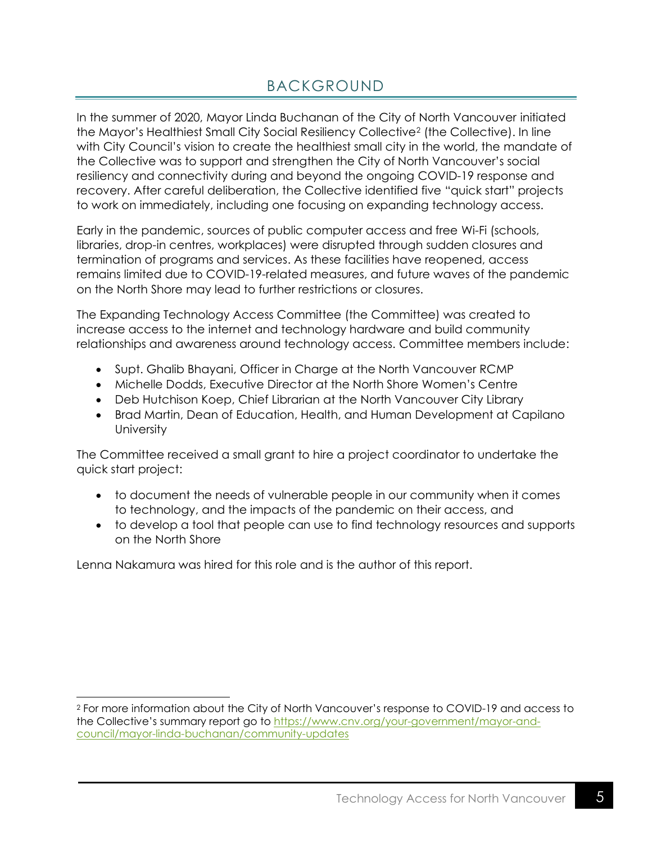# BACKGROUND

<span id="page-5-0"></span>In the summer of 2020, Mayor Linda Buchanan of the City of North Vancouver initiated the Mayor's Healthiest Small City Social Resiliency Collective<sup>2</sup> (the Collective). In line with City Council's vision to create the healthiest small city in the world, the mandate of the Collective was to support and strengthen the City of North Vancouver's social resiliency and connectivity during and beyond the ongoing COVID-19 response and recovery. After careful deliberation, the Collective identified five "quick start" projects to work on immediately, including one focusing on expanding technology access.

Early in the pandemic, sources of public computer access and free Wi-Fi (schools, libraries, drop-in centres, workplaces) were disrupted through sudden closures and termination of programs and services. As these facilities have reopened, access remains limited due to COVID-19-related measures, and future waves of the pandemic on the North Shore may lead to further restrictions or closures.

The Expanding Technology Access Committee (the Committee) was created to increase access to the internet and technology hardware and build community relationships and awareness around technology access. Committee members include:

- Supt. Ghalib Bhayani, Officer in Charge at the North Vancouver RCMP
- Michelle Dodds, Executive Director at the North Shore Women's Centre
- Deb Hutchison Koep, Chief Librarian at the North Vancouver City Library
- Brad Martin, Dean of Education, Health, and Human Development at Capilano **University**

The Committee received a small grant to hire a project coordinator to undertake the quick start project:

- to document the needs of vulnerable people in our community when it comes to technology, and the impacts of the pandemic on their access, and
- to develop a tool that people can use to find technology resources and supports on the North Shore

Lenna Nakamura was hired for this role and is the author of this report.

<sup>2</sup> For more information about the City of North Vancouver's response to COVID-19 and access to the Collective's summary report go to [https://www.cnv.org/your-government/mayor-and](https://www.cnv.org/your-government/mayor-and-council/mayor-linda-buchanan/community-updates)[council/mayor-linda-buchanan/community-updates](https://www.cnv.org/your-government/mayor-and-council/mayor-linda-buchanan/community-updates)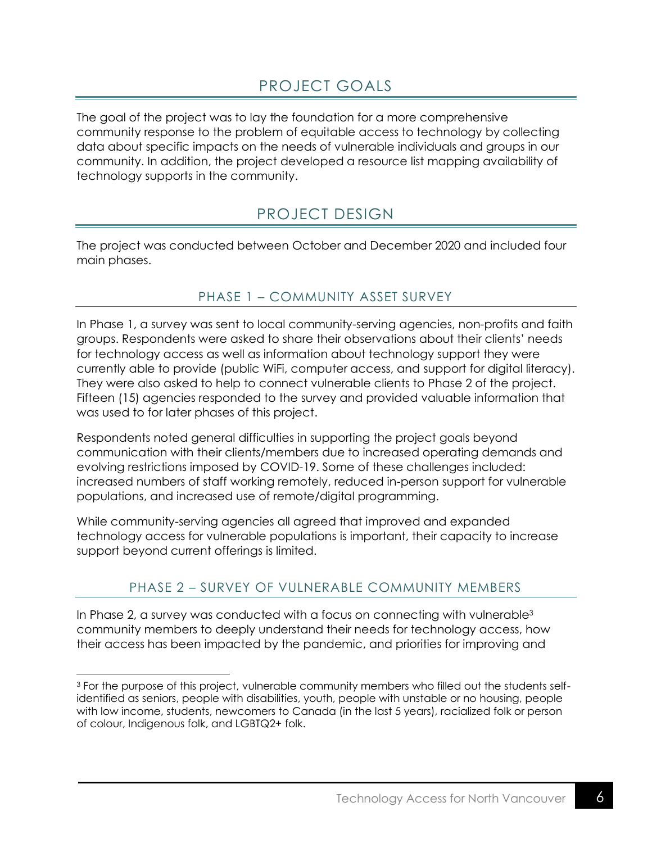# PROJECT GOALS

<span id="page-6-0"></span>The goal of the project was to lay the foundation for a more comprehensive community response to the problem of equitable access to technology by collecting data about specific impacts on the needs of vulnerable individuals and groups in our community. In addition, the project developed a resource list mapping availability of technology supports in the community.

# PROJECT DESIGN

<span id="page-6-1"></span>The project was conducted between October and December 2020 and included four main phases.

## PHASE 1 – COMMUNITY ASSET SURVEY

<span id="page-6-2"></span>In Phase 1, a survey was sent to local community-serving agencies, non-profits and faith groups. Respondents were asked to share their observations about their clients' needs for technology access as well as information about technology support they were currently able to provide (public WiFi, computer access, and support for digital literacy). They were also asked to help to connect vulnerable clients to Phase 2 of the project. Fifteen (15) agencies responded to the survey and provided valuable information that was used to for later phases of this project.

Respondents noted general difficulties in supporting the project goals beyond communication with their clients/members due to increased operating demands and evolving restrictions imposed by COVID-19. Some of these challenges included: increased numbers of staff working remotely, reduced in-person support for vulnerable populations, and increased use of remote/digital programming.

While community-serving agencies all agreed that improved and expanded technology access for vulnerable populations is important, their capacity to increase support beyond current offerings is limited.

## PHASE 2 – SURVEY OF VULNERABLE COMMUNITY MEMBERS

<span id="page-6-3"></span>In Phase 2, a survey was conducted with a focus on connecting with vulnerable $3$ community members to deeply understand their needs for technology access, how their access has been impacted by the pandemic, and priorities for improving and

<sup>3</sup> For the purpose of this project, vulnerable community members who filled out the students selfidentified as seniors, people with disabilities, youth, people with unstable or no housing, people with low income, students, newcomers to Canada (in the last 5 years), racialized folk or person of colour, Indigenous folk, and LGBTQ2+ folk.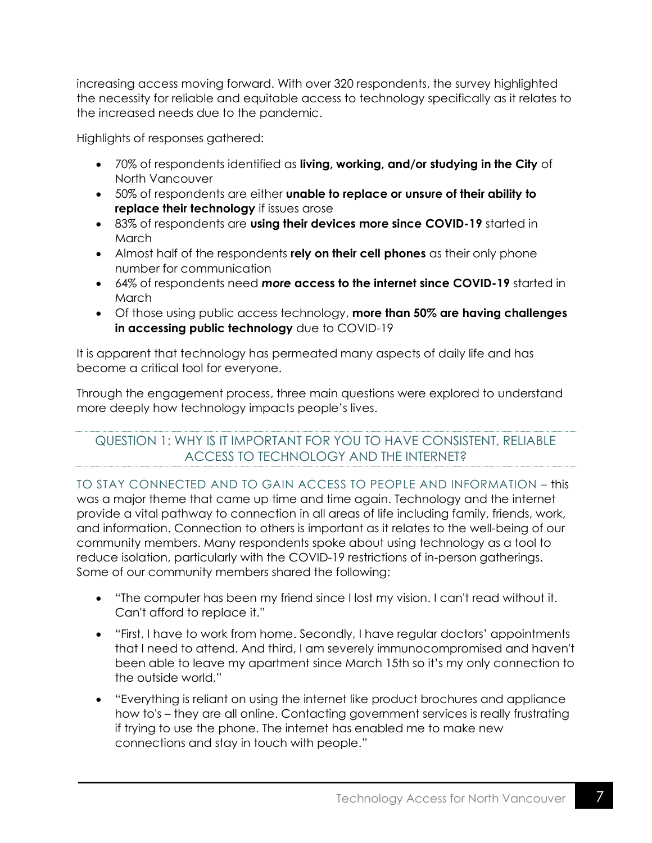increasing access moving forward. With over 320 respondents, the survey highlighted the necessity for reliable and equitable access to technology specifically as it relates to the increased needs due to the pandemic.

Highlights of responses gathered:

- 70% of respondents identified as **living, working, and/or studying in the City** of North Vancouver
- 50% of respondents are either **unable to replace or unsure of their ability to replace their technology** if issues arose
- 83% of respondents are **using their devices more since COVID-19** started in **March**
- Almost half of the respondents **rely on their cell phones** as their only phone number for communication
- 64% of respondents need *more* **access to the internet since COVID-19** started in **March**
- Of those using public access technology, **more than 50% are having challenges in accessing public technology** due to COVID-19

It is apparent that technology has permeated many aspects of daily life and has become a critical tool for everyone.

Through the engagement process, three main questions were explored to understand more deeply how technology impacts people's lives.

## <span id="page-7-0"></span>QUESTION 1: WHY IS IT IMPORTANT FOR YOU TO HAVE CONSISTENT, RELIABLE ACCESS TO TECHNOLOGY AND THE INTERNET?

TO STAY CONNECTED AND TO GAIN ACCESS TO PEOPLE AND INFORMATION – this was a major theme that came up time and time again. Technology and the internet provide a vital pathway to connection in all areas of life including family, friends, work, and information. Connection to others is important as it relates to the well-being of our community members. Many respondents spoke about using technology as a tool to reduce isolation, particularly with the COVID-19 restrictions of in-person gatherings. Some of our community members shared the following:

- "The computer has been my friend since I lost my vision. I can't read without it. Can't afford to replace it."
- "First, I have to work from home. Secondly, I have regular doctors' appointments that I need to attend. And third, I am severely immunocompromised and haven't been able to leave my apartment since March 15th so it's my only connection to the outside world."
- "Everything is reliant on using the internet like product brochures and appliance how to's – they are all online. Contacting government services is really frustrating if trying to use the phone. The internet has enabled me to make new connections and stay in touch with people."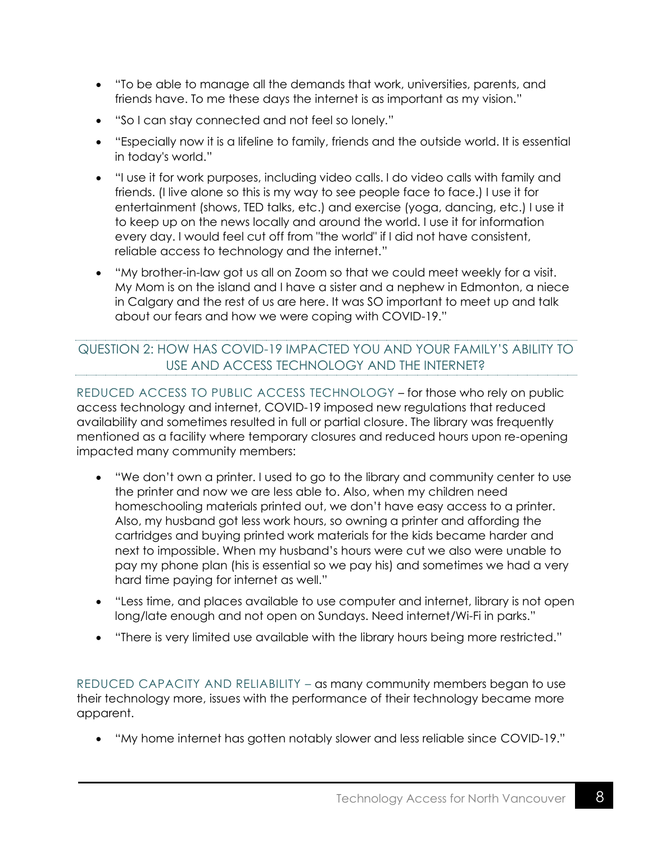- "To be able to manage all the demands that work, universities, parents, and friends have. To me these days the internet is as important as my vision."
- "So I can stay connected and not feel so lonely."
- "Especially now it is a lifeline to family, friends and the outside world. It is essential in today's world."
- "I use it for work purposes, including video calls. I do video calls with family and friends. (I live alone so this is my way to see people face to face.) I use it for entertainment (shows, TED talks, etc.) and exercise (yoga, dancing, etc.) I use it to keep up on the news locally and around the world. I use it for information every day. I would feel cut off from "the world" if I did not have consistent, reliable access to technology and the internet."
- "My brother-in-law got us all on Zoom so that we could meet weekly for a visit. My Mom is on the island and I have a sister and a nephew in Edmonton, a niece in Calgary and the rest of us are here. It was SO important to meet up and talk about our fears and how we were coping with COVID-19."

## <span id="page-8-0"></span>QUESTION 2: HOW HAS COVID-19 IMPACTED YOU AND YOUR FAMILY'S ABILITY TO USE AND ACCESS TECHNOLOGY AND THE INTERNET?

REDUCED ACCESS TO PUBLIC ACCESS TECHNOLOGY – for those who rely on public access technology and internet, COVID-19 imposed new regulations that reduced availability and sometimes resulted in full or partial closure. The library was frequently mentioned as a facility where temporary closures and reduced hours upon re-opening impacted many community members:

- "We don't own a printer. I used to go to the library and community center to use the printer and now we are less able to. Also, when my children need homeschooling materials printed out, we don't have easy access to a printer. Also, my husband got less work hours, so owning a printer and affording the cartridges and buying printed work materials for the kids became harder and next to impossible. When my husband's hours were cut we also were unable to pay my phone plan (his is essential so we pay his) and sometimes we had a very hard time paying for internet as well."
- "Less time, and places available to use computer and internet, library is not open long/late enough and not open on Sundays. Need internet/Wi-Fi in parks."
- "There is very limited use available with the library hours being more restricted."

REDUCED CAPACITY AND RELIABILITY – as many community members began to use their technology more, issues with the performance of their technology became more apparent.

• "My home internet has gotten notably slower and less reliable since COVID-19."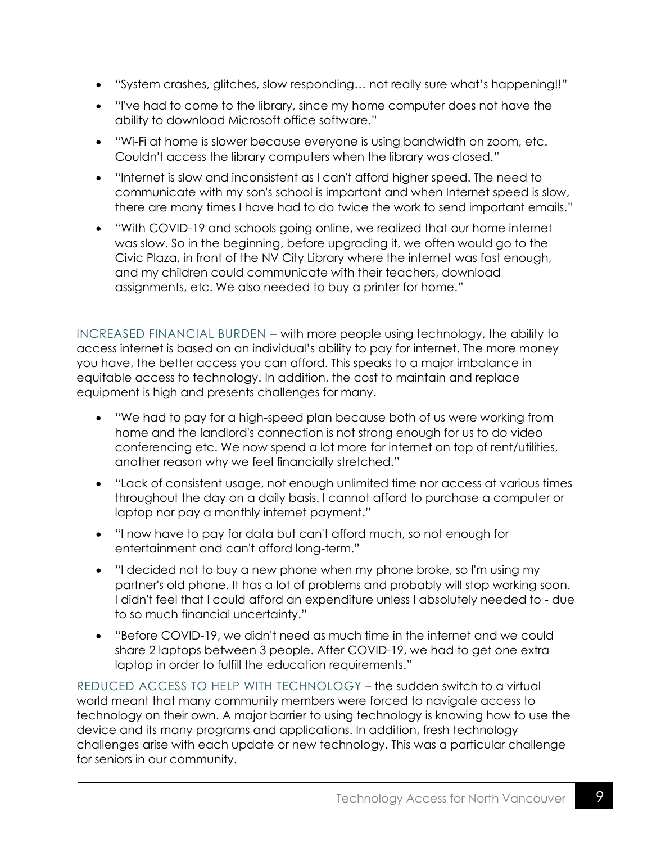- "System crashes, glitches, slow responding… not really sure what's happening!!"
- "I've had to come to the library, since my home computer does not have the ability to download Microsoft office software."
- "Wi-Fi at home is slower because everyone is using bandwidth on zoom, etc. Couldn't access the library computers when the library was closed."
- "Internet is slow and inconsistent as I can't afford higher speed. The need to communicate with my son's school is important and when Internet speed is slow, there are many times I have had to do twice the work to send important emails."
- "With COVID-19 and schools going online, we realized that our home internet was slow. So in the beginning, before upgrading it, we often would go to the Civic Plaza, in front of the NV City Library where the internet was fast enough, and my children could communicate with their teachers, download assignments, etc. We also needed to buy a printer for home."

INCREASED FINANCIAL BURDEN – with more people using technology, the ability to access internet is based on an individual's ability to pay for internet. The more money you have, the better access you can afford. This speaks to a major imbalance in equitable access to technology. In addition, the cost to maintain and replace equipment is high and presents challenges for many.

- "We had to pay for a high-speed plan because both of us were working from home and the landlord's connection is not strong enough for us to do video conferencing etc. We now spend a lot more for internet on top of rent/utilities, another reason why we feel financially stretched."
- "Lack of consistent usage, not enough unlimited time nor access at various times throughout the day on a daily basis. I cannot afford to purchase a computer or laptop nor pay a monthly internet payment."
- "I now have to pay for data but can't afford much, so not enough for entertainment and can't afford long-term."
- "I decided not to buy a new phone when my phone broke, so I'm using my partner's old phone. It has a lot of problems and probably will stop working soon. I didn't feel that I could afford an expenditure unless I absolutely needed to - due to so much financial uncertainty."
- "Before COVID-19, we didn't need as much time in the internet and we could share 2 laptops between 3 people. After COVID-19, we had to get one extra laptop in order to fulfill the education requirements."

REDUCED ACCESS TO HELP WITH TECHNOLOGY – the sudden switch to a virtual world meant that many community members were forced to navigate access to technology on their own. A major barrier to using technology is knowing how to use the device and its many programs and applications. In addition, fresh technology challenges arise with each update or new technology. This was a particular challenge for seniors in our community.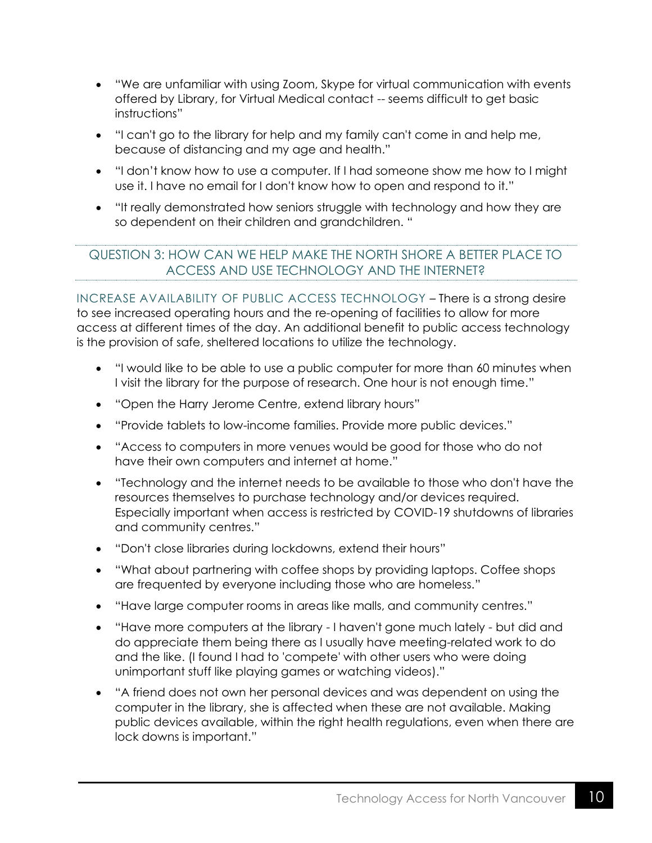- "We are unfamiliar with using Zoom, Skype for virtual communication with events offered by Library, for Virtual Medical contact -- seems difficult to get basic instructions"
- "I can't go to the library for help and my family can't come in and help me, because of distancing and my age and health."
- "I don't know how to use a computer. If I had someone show me how to I might use it. I have no email for I don't know how to open and respond to it."
- "It really demonstrated how seniors struggle with technology and how they are so dependent on their children and grandchildren. "

## <span id="page-10-0"></span>QUESTION 3: HOW CAN WE HELP MAKE THE NORTH SHORE A BETTER PLACE TO ACCESS AND USE TECHNOLOGY AND THE INTERNET?

INCREASE AVAILABILITY OF PUBLIC ACCESS TECHNOLOGY – There is a strong desire to see increased operating hours and the re-opening of facilities to allow for more access at different times of the day. An additional benefit to public access technology is the provision of safe, sheltered locations to utilize the technology.

- "I would like to be able to use a public computer for more than 60 minutes when I visit the library for the purpose of research. One hour is not enough time."
- "Open the Harry Jerome Centre, extend library hours"
- "Provide tablets to low-income families. Provide more public devices."
- "Access to computers in more venues would be good for those who do not have their own computers and internet at home."
- "Technology and the internet needs to be available to those who don't have the resources themselves to purchase technology and/or devices required. Especially important when access is restricted by COVID-19 shutdowns of libraries and community centres."
- "Don't close libraries during lockdowns, extend their hours"
- "What about partnering with coffee shops by providing laptops. Coffee shops are frequented by everyone including those who are homeless."
- "Have large computer rooms in areas like malls, and community centres."
- "Have more computers at the library I haven't gone much lately but did and do appreciate them being there as I usually have meeting-related work to do and the like. (I found I had to 'compete' with other users who were doing unimportant stuff like playing games or watching videos)."
- "A friend does not own her personal devices and was dependent on using the computer in the library, she is affected when these are not available. Making public devices available, within the right health regulations, even when there are lock downs is important."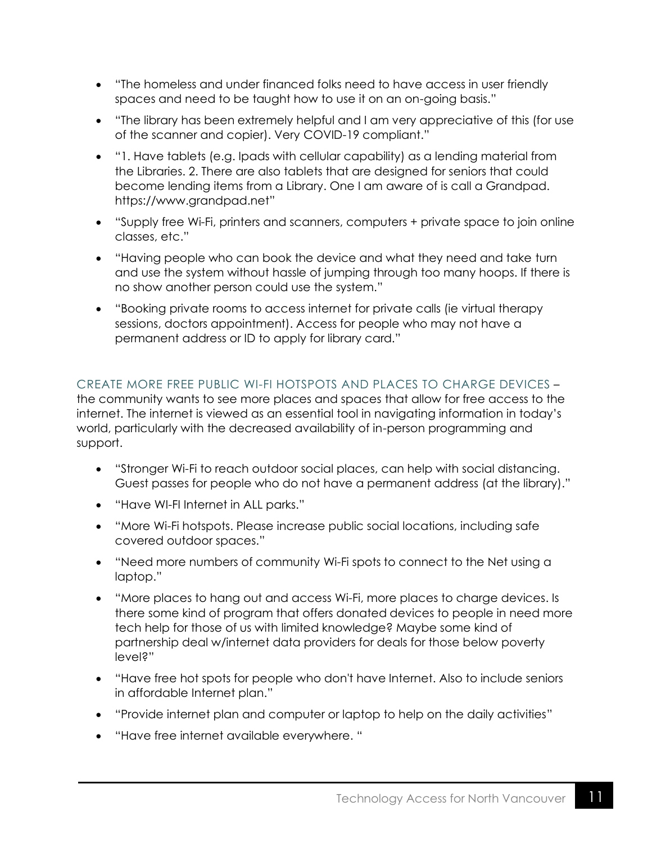- "The homeless and under financed folks need to have access in user friendly spaces and need to be taught how to use it on an on-going basis."
- "The library has been extremely helpful and I am very appreciative of this (for use of the scanner and copier). Very COVID-19 compliant."
- "1. Have tablets (e.g. Ipads with cellular capability) as a lending material from the Libraries. 2. There are also tablets that are designed for seniors that could become lending items from a Library. One I am aware of is call a Grandpad. https://www.grandpad.net"
- "Supply free Wi-Fi, printers and scanners, computers + private space to join online classes, etc."
- "Having people who can book the device and what they need and take turn and use the system without hassle of jumping through too many hoops. If there is no show another person could use the system."
- "Booking private rooms to access internet for private calls (ie virtual therapy sessions, doctors appointment). Access for people who may not have a permanent address or ID to apply for library card."

## CREATE MORE FREE PUBLIC WI-FI HOTSPOTS AND PLACES TO CHARGE DEVICES –

the community wants to see more places and spaces that allow for free access to the internet. The internet is viewed as an essential tool in navigating information in today's world, particularly with the decreased availability of in-person programming and support.

- "Stronger Wi-Fi to reach outdoor social places, can help with social distancing. Guest passes for people who do not have a permanent address (at the library)."
- "Have WI-FI Internet in ALL parks."
- "More Wi-Fi hotspots. Please increase public social locations, including safe covered outdoor spaces."
- "Need more numbers of community Wi-Fi spots to connect to the Net using a laptop."
- "More places to hang out and access Wi-Fi, more places to charge devices. Is there some kind of program that offers donated devices to people in need more tech help for those of us with limited knowledge? Maybe some kind of partnership deal w/internet data providers for deals for those below poverty level?"
- "Have free hot spots for people who don't have Internet. Also to include seniors in affordable Internet plan."
- "Provide internet plan and computer or laptop to help on the daily activities"
- "Have free internet available everywhere. "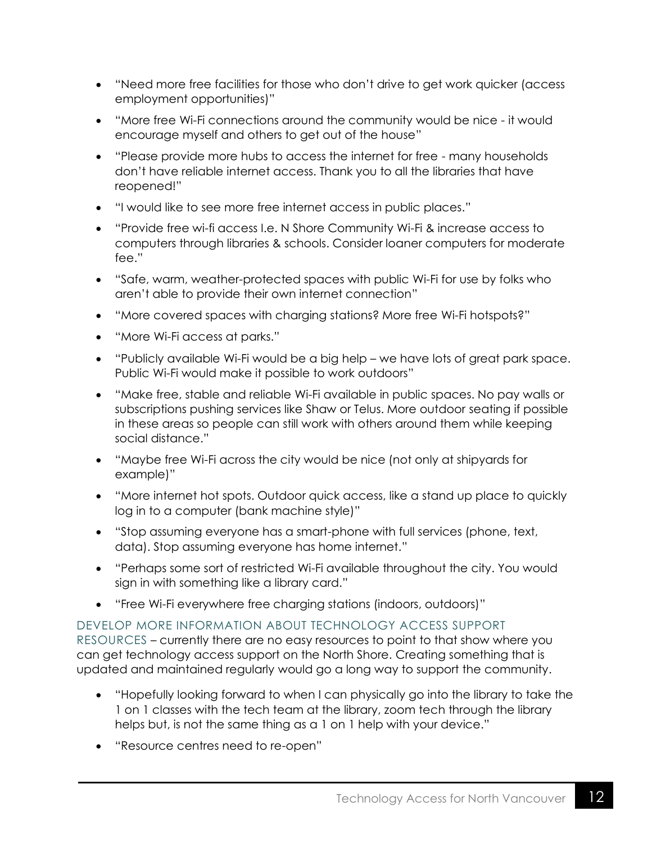- "Need more free facilities for those who don't drive to get work quicker (access employment opportunities)"
- "More free Wi-Fi connections around the community would be nice it would encourage myself and others to get out of the house"
- "Please provide more hubs to access the internet for free many households don't have reliable internet access. Thank you to all the libraries that have reopened!"
- "I would like to see more free internet access in public places."
- "Provide free wi-fi access I.e. N Shore Community Wi-Fi & increase access to computers through libraries & schools. Consider loaner computers for moderate fee."
- "Safe, warm, weather-protected spaces with public Wi-Fi for use by folks who aren't able to provide their own internet connection"
- "More covered spaces with charging stations? More free Wi-Fi hotspots?"
- "More Wi-Fi access at parks."
- "Publicly available Wi-Fi would be a big help we have lots of great park space. Public Wi-Fi would make it possible to work outdoors"
- "Make free, stable and reliable Wi-Fi available in public spaces. No pay walls or subscriptions pushing services like Shaw or Telus. More outdoor seating if possible in these areas so people can still work with others around them while keeping social distance."
- "Maybe free Wi-Fi across the city would be nice (not only at shipyards for example)"
- "More internet hot spots. Outdoor quick access, like a stand up place to quickly log in to a computer (bank machine style)"
- "Stop assuming everyone has a smart-phone with full services (phone, text, data). Stop assuming everyone has home internet."
- "Perhaps some sort of restricted Wi-Fi available throughout the city. You would sign in with something like a library card."
- "Free Wi-Fi everywhere free charging stations (indoors, outdoors)"

## DEVELOP MORE INFORMATION ABOUT TECHNOLOGY ACCESS SUPPORT

RESOURCES – currently there are no easy resources to point to that show where you can get technology access support on the North Shore. Creating something that is updated and maintained regularly would go a long way to support the community.

- "Hopefully looking forward to when I can physically go into the library to take the 1 on 1 classes with the tech team at the library, zoom tech through the library helps but, is not the same thing as a 1 on 1 help with your device."
- "Resource centres need to re-open"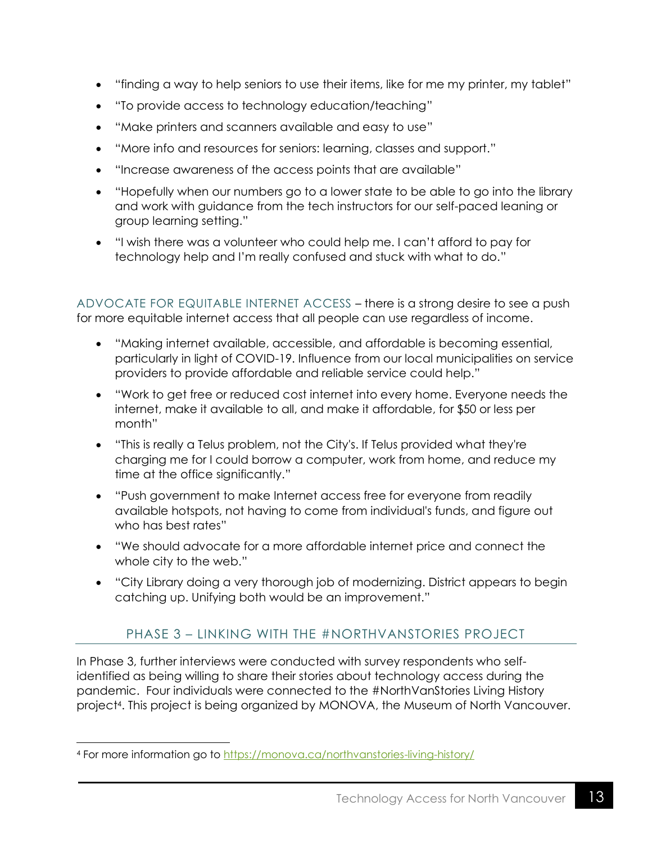- "finding a way to help seniors to use their items, like for me my printer, my tablet"
- "To provide access to technology education/teaching"
- "Make printers and scanners available and easy to use"
- "More info and resources for seniors: learning, classes and support."
- "Increase awareness of the access points that are available"
- "Hopefully when our numbers go to a lower state to be able to go into the library and work with guidance from the tech instructors for our self-paced leaning or group learning setting."
- "I wish there was a volunteer who could help me. I can't afford to pay for technology help and I'm really confused and stuck with what to do."

ADVOCATE FOR EQUITABLE INTERNET ACCESS – there is a strong desire to see a push for more equitable internet access that all people can use regardless of income.

- "Making internet available, accessible, and affordable is becoming essential, particularly in light of COVID-19. Influence from our local municipalities on service providers to provide affordable and reliable service could help."
- "Work to get free or reduced cost internet into every home. Everyone needs the internet, make it available to all, and make it affordable, for \$50 or less per month"
- "This is really a Telus problem, not the City's. If Telus provided what they're charging me for I could borrow a computer, work from home, and reduce my time at the office significantly."
- "Push government to make Internet access free for everyone from readily available hotspots, not having to come from individual's funds, and figure out who has best rates"
- "We should advocate for a more affordable internet price and connect the whole city to the web."
- <span id="page-13-0"></span>• "City Library doing a very thorough job of modernizing. District appears to begin catching up. Unifying both would be an improvement."

# PHASE 3 – LINKING WITH THE #NORTHVANSTORIES PROJECT

In Phase 3, further interviews were conducted with survey respondents who selfidentified as being willing to share their stories about technology access during the pandemic. Four individuals were connected to the #NorthVanStories Living History project<sup>4</sup> . This project is being organized by MONOVA, the Museum of North Vancouver.

<sup>4</sup> For more information go to<https://monova.ca/northvanstories-living-history/>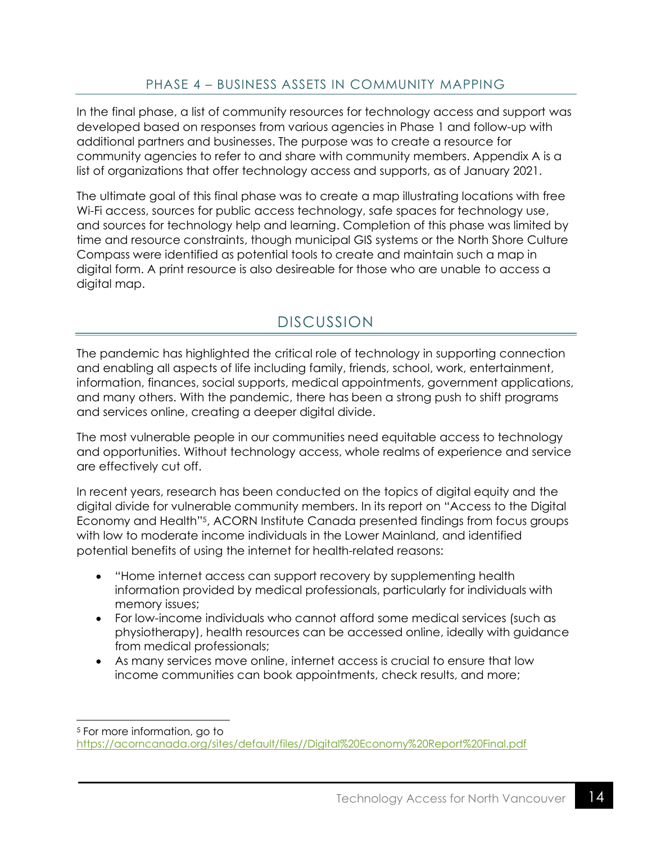### PHASE 4 – BUSINESS ASSETS IN COMMUNITY MAPPING

<span id="page-14-0"></span>In the final phase, a list of community resources for technology access and support was developed based on responses from various agencies in Phase 1 and follow-up with additional partners and businesses. The purpose was to create a resource for community agencies to refer to and share with community members. Appendix A is a list of organizations that offer technology access and supports, as of January 2021.

The ultimate goal of this final phase was to create a map illustrating locations with free Wi-Fi access, sources for public access technology, safe spaces for technology use, and sources for technology help and learning. Completion of this phase was limited by time and resource constraints, though municipal GIS systems or the North Shore Culture Compass were identified as potential tools to create and maintain such a map in digital form. A print resource is also desireable for those who are unable to access a digital map.

# DISCUSSION

<span id="page-14-1"></span>The pandemic has highlighted the critical role of technology in supporting connection and enabling all aspects of life including family, friends, school, work, entertainment, information, finances, social supports, medical appointments, government applications, and many others. With the pandemic, there has been a strong push to shift programs and services online, creating a deeper digital divide.

The most vulnerable people in our communities need equitable access to technology and opportunities. Without technology access, whole realms of experience and service are effectively cut off.

In recent years, research has been conducted on the topics of digital equity and the digital divide for vulnerable community members. In its report on "Access to the Digital Economy and Health"<sup>5</sup> , ACORN Institute Canada presented findings from focus groups with low to moderate income individuals in the Lower Mainland, and identified potential benefits of using the internet for health-related reasons:

- "Home internet access can support recovery by supplementing health information provided by medical professionals, particularly for individuals with memory issues;
- For low-income individuals who cannot afford some medical services (such as physiotherapy), health resources can be accessed online, ideally with guidance from medical professionals;
- As many services move online, internet access is crucial to ensure that low income communities can book appointments, check results, and more;

<sup>5</sup> For more information, go to

[https://acorncanada.org/sites/default/files//Digital%20Economy%20Report%20Final.pdf](https://acorncanada.org/sites/default/files/Digital%20Economy%20Report%20Final.pdf)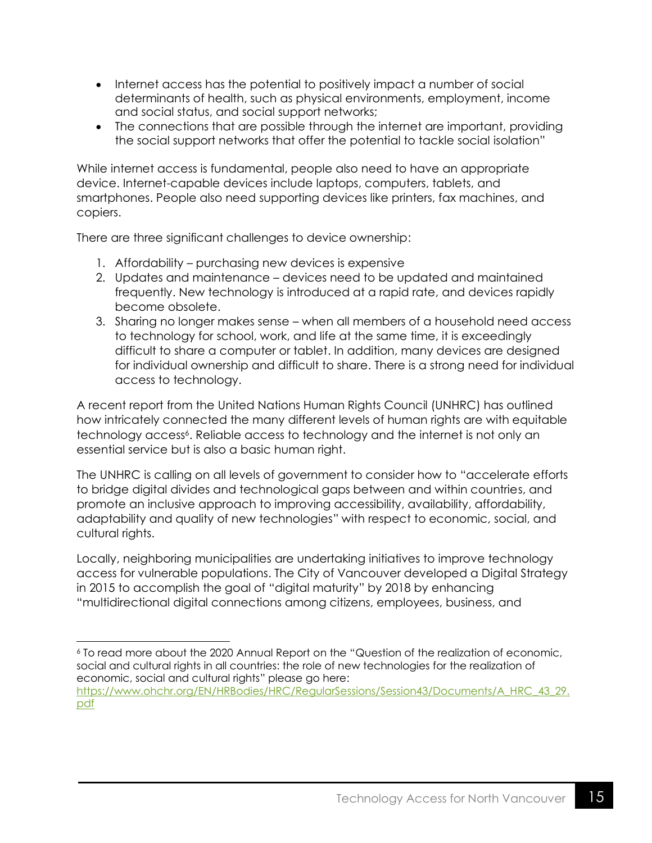- Internet access has the potential to positively impact a number of social determinants of health, such as physical environments, employment, income and social status, and social support networks;
- The connections that are possible through the internet are important, providing the social support networks that offer the potential to tackle social isolation"

While internet access is fundamental, people also need to have an appropriate device. Internet-capable devices include laptops, computers, tablets, and smartphones. People also need supporting devices like printers, fax machines, and copiers.

There are three significant challenges to device ownership:

- 1. Affordability purchasing new devices is expensive
- 2. Updates and maintenance devices need to be updated and maintained frequently. New technology is introduced at a rapid rate, and devices rapidly become obsolete.
- 3. Sharing no longer makes sense when all members of a household need access to technology for school, work, and life at the same time, it is exceedingly difficult to share a computer or tablet. In addition, many devices are designed for individual ownership and difficult to share. There is a strong need for individual access to technology.

A recent report from the United Nations Human Rights Council (UNHRC) has outlined how intricately connected the many different levels of human rights are with equitable technology access<sup>6</sup>. Reliable access to technology and the internet is not only an essential service but is also a basic human right.

The UNHRC is calling on all levels of government to consider how to "accelerate efforts to bridge digital divides and technological gaps between and within countries, and promote an inclusive approach to improving accessibility, availability, affordability, adaptability and quality of new technologies" with respect to economic, social, and cultural rights.

Locally, neighboring municipalities are undertaking initiatives to improve technology access for vulnerable populations. The City of Vancouver developed a Digital Strategy in 2015 to accomplish the goal of "digital maturity" by 2018 by enhancing "multidirectional digital connections among citizens, employees, business, and

<sup>6</sup> To read more about the 2020 Annual Report on the "Question of the realization of economic, social and cultural rights in all countries: the role of new technologies for the realization of economic, social and cultural rights" please go here:

[https://www.ohchr.org/EN/HRBodies/HRC/RegularSessions/Session43/Documents/A\\_HRC\\_43\\_29.](https://www.ohchr.org/EN/HRBodies/HRC/RegularSessions/Session43/Documents/A_HRC_43_29.pdf) [pdf](https://www.ohchr.org/EN/HRBodies/HRC/RegularSessions/Session43/Documents/A_HRC_43_29.pdf)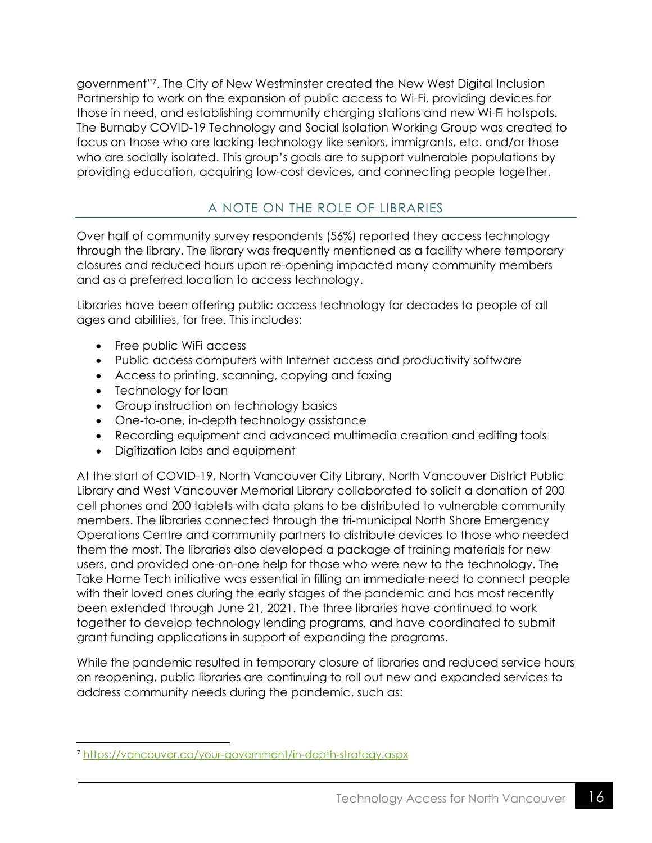government" 7 . The City of New Westminster created the New West Digital Inclusion Partnership to work on the expansion of public access to Wi-Fi, providing devices for those in need, and establishing community charging stations and new Wi-Fi hotspots. The Burnaby COVID-19 Technology and Social Isolation Working Group was created to focus on those who are lacking technology like seniors, immigrants, etc. and/or those who are socially isolated. This group's goals are to support vulnerable populations by providing education, acquiring low-cost devices, and connecting people together.

## A NOTE ON THE ROLE OF LIBRARIES

<span id="page-16-0"></span>Over half of community survey respondents (56%) reported they access technology through the library. The library was frequently mentioned as a facility where temporary closures and reduced hours upon re-opening impacted many community members and as a preferred location to access technology.

Libraries have been offering public access technology for decades to people of all ages and abilities, for free. This includes:

- Free public WiFi access
- Public access computers with Internet access and productivity software
- Access to printing, scanning, copying and faxing
- Technology for loan
- Group instruction on technology basics
- One-to-one, in-depth technology assistance
- Recording equipment and advanced multimedia creation and editing tools
- Digitization labs and equipment

At the start of COVID-19, North Vancouver City Library, North Vancouver District Public Library and West Vancouver Memorial Library collaborated to solicit a donation of 200 cell phones and 200 tablets with data plans to be distributed to vulnerable community members. The libraries connected through the tri-municipal North Shore Emergency Operations Centre and community partners to distribute devices to those who needed them the most. The libraries also developed a package of training materials for new users, and provided one-on-one help for those who were new to the technology. The Take Home Tech initiative was essential in filling an immediate need to connect people with their loved ones during the early stages of the pandemic and has most recently been extended through June 21, 2021. The three libraries have continued to work together to develop technology lending programs, and have coordinated to submit grant funding applications in support of expanding the programs.

While the pandemic resulted in temporary closure of libraries and reduced service hours on reopening, public libraries are continuing to roll out new and expanded services to address community needs during the pandemic, such as:

<sup>7</sup> <https://vancouver.ca/your-government/in-depth-strategy.aspx>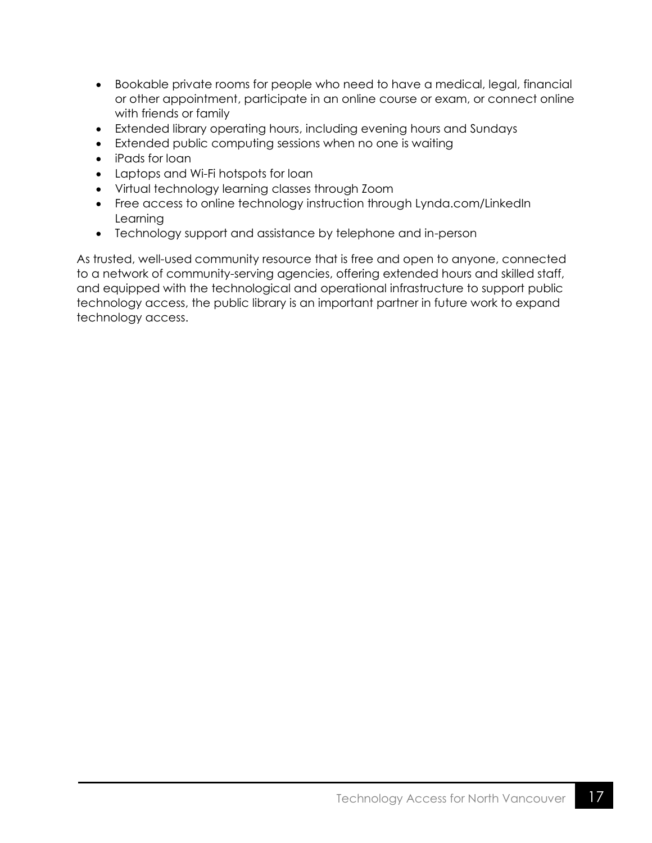- Bookable private rooms for people who need to have a medical, legal, financial or other appointment, participate in an online course or exam, or connect online with friends or family
- Extended library operating hours, including evening hours and Sundays
- Extended public computing sessions when no one is waiting
- iPads for loan
- Laptops and Wi-Fi hotspots for loan
- Virtual technology learning classes through Zoom
- Free access to online technology instruction through Lynda.com/LinkedIn Learning
- Technology support and assistance by telephone and in-person

As trusted, well-used community resource that is free and open to anyone, connected to a network of community-serving agencies, offering extended hours and skilled staff, and equipped with the technological and operational infrastructure to support public technology access, the public library is an important partner in future work to expand technology access.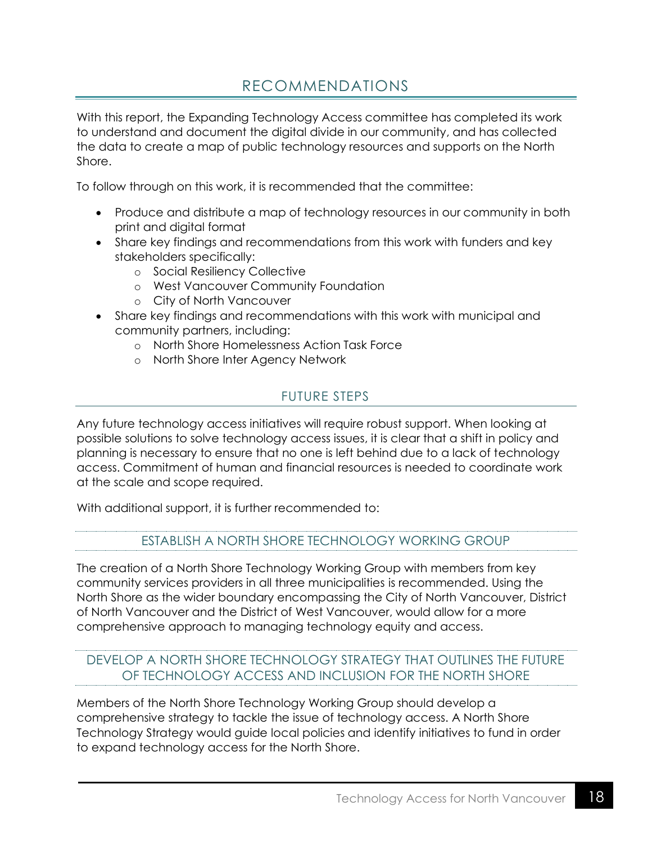# RECOMMENDATIONS

<span id="page-18-0"></span>With this report, the Expanding Technology Access committee has completed its work to understand and document the digital divide in our community, and has collected the data to create a map of public technology resources and supports on the North Shore.

To follow through on this work, it is recommended that the committee:

- Produce and distribute a map of technology resources in our community in both print and digital format
- Share key findings and recommendations from this work with funders and key stakeholders specifically:
	- o Social Resiliency Collective
	- o West Vancouver Community Foundation
	- o City of North Vancouver
- Share key findings and recommendations with this work with municipal and community partners, including:
	- o North Shore Homelessness Action Task Force
	- o North Shore Inter Agency Network

### FUTURE STEPS

<span id="page-18-1"></span>Any future technology access initiatives will require robust support. When looking at possible solutions to solve technology access issues, it is clear that a shift in policy and planning is necessary to ensure that no one is left behind due to a lack of technology access. Commitment of human and financial resources is needed to coordinate work at the scale and scope required.

<span id="page-18-2"></span>With additional support, it is further recommended to:

#### ESTABLISH A NORTH SHORE TECHNOLOGY WORKING GROUP

The creation of a North Shore Technology Working Group with members from key community services providers in all three municipalities is recommended. Using the North Shore as the wider boundary encompassing the City of North Vancouver, District of North Vancouver and the District of West Vancouver, would allow for a more comprehensive approach to managing technology equity and access.

## <span id="page-18-3"></span>DEVELOP A NORTH SHORE TECHNOLOGY STRATEGY THAT OUTLINES THE FUTURE OF TECHNOLOGY ACCESS AND INCLUSION FOR THE NORTH SHORE

Members of the North Shore Technology Working Group should develop a comprehensive strategy to tackle the issue of technology access. A North Shore Technology Strategy would guide local policies and identify initiatives to fund in order to expand technology access for the North Shore.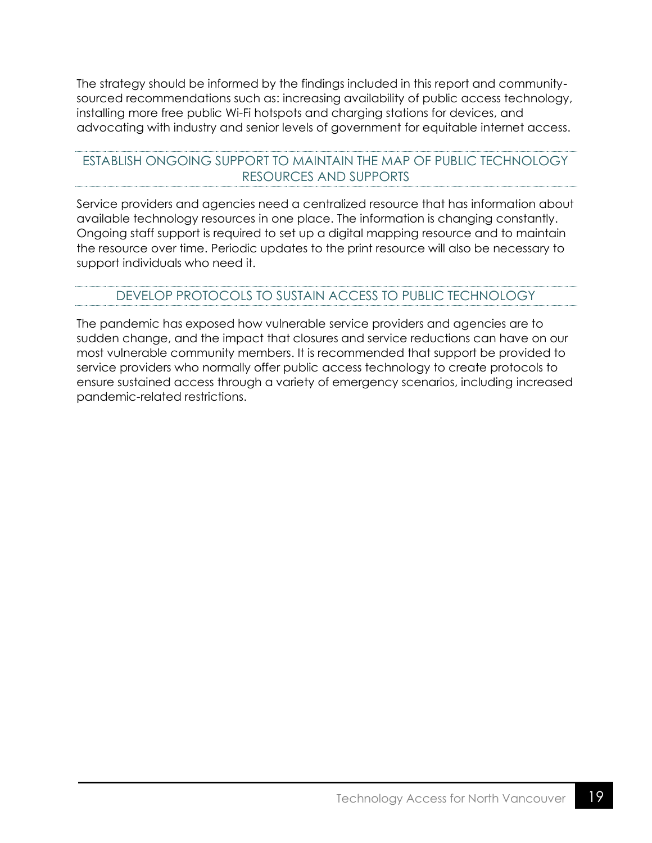The strategy should be informed by the findings included in this report and communitysourced recommendations such as: increasing availability of public access technology, installing more free public Wi-Fi hotspots and charging stations for devices, and advocating with industry and senior levels of government for equitable internet access.

### <span id="page-19-0"></span>ESTABLISH ONGOING SUPPORT TO MAINTAIN THE MAP OF PUBLIC TECHNOLOGY RESOURCES AND SUPPORTS

Service providers and agencies need a centralized resource that has information about available technology resources in one place. The information is changing constantly. Ongoing staff support is required to set up a digital mapping resource and to maintain the resource over time. Periodic updates to the print resource will also be necessary to support individuals who need it.

### DEVELOP PROTOCOLS TO SUSTAIN ACCESS TO PUBLIC TECHNOLOGY

<span id="page-19-1"></span>The pandemic has exposed how vulnerable service providers and agencies are to sudden change, and the impact that closures and service reductions can have on our most vulnerable community members. It is recommended that support be provided to service providers who normally offer public access technology to create protocols to ensure sustained access through a variety of emergency scenarios, including increased pandemic-related restrictions.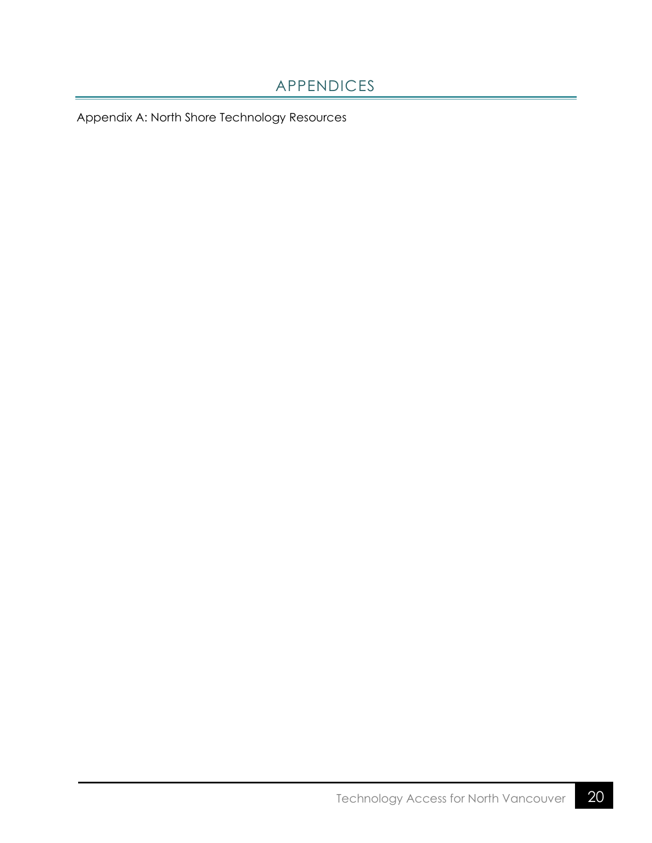# APPENDICES

<span id="page-20-0"></span>Appendix A: North Shore Technology Resources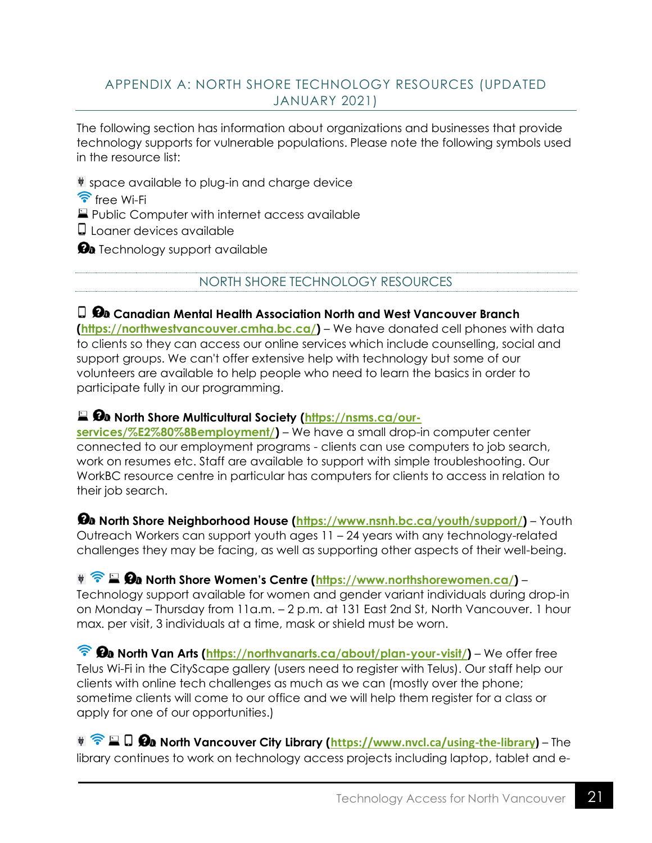## <span id="page-21-0"></span>APPENDIX A: NORTH SHORE TECHNOLOGY RESOURCES (UPDATED JANUARY 2021)

The following section has information about organizations and businesses that provide technology supports for vulnerable populations. Please note the following symbols used in the resource list:

space available to plug-in and charge device

 $\widehat{\mathcal{F}}$  free Wi-Fi

**Public Computer with internet access available** 

Loaner devices available

<span id="page-21-1"></span> $\Omega$  Technology support available

NORTH SHORE TECHNOLOGY RESOURCES

**Canadian Mental Health Association North and West Vancouver Branch [\(https://northwestvancouver.cmha.bc.ca/\)](https://northwestvancouver.cmha.bc.ca/)** – We have donated cell phones with data to clients so they can access our online services which include counselling, social and support groups. We can't offer extensive help with technology but some of our volunteers are available to help people who need to learn the basics in order to participate fully in our programming.

## **■ Øa North Shore Multicultural Society [\(https://nsms.ca/our-](https://nsms.ca/our-services/%E2%80%8Bemployment/)**

**[services/%E2%80%8Bemployment/\)](https://nsms.ca/our-services/%E2%80%8Bemployment/)** – We have a small drop-in computer center connected to our employment programs - clients can use computers to job search, work on resumes etc. Staff are available to support with simple troubleshooting. Our WorkBC resource centre in particular has computers for clients to access in relation to their job search.

*D***<sub>a</sub>** North Shore Neighborhood House [\(https://www.nsnh.bc.ca/youth/support/\)](https://www.nsnh.bc.ca/youth/support/) – Youth Outreach Workers can support youth ages 11 – 24 years with any technology-related challenges they may be facing, as well as supporting other aspects of their well-being.

**We Commiss North Shore Women's Centre ([https://www.northshorewomen.ca/\)](https://www.northshorewomen.ca/)** – Technology support available for women and gender variant individuals during drop-in on Monday – Thursday from 11a.m. – 2 p.m. at 131 East 2nd St, North Vancouver. 1 hour max. per visit, 3 individuals at a time, mask or shield must be worn.

**Re** North Van Arts [\(https://northvanarts.ca/about/plan-your-visit/\)](https://northvanarts.ca/about/plan-your-visit/) – We offer free Telus Wi-Fi in the CityScape gallery (users need to register with Telus). Our staff help our clients with online tech challenges as much as we can (mostly over the phone; sometime clients will come to our office and we will help them register for a class or apply for one of our opportunities.)

**Way Rome Vancouver City Library ([https://www.nvcl.ca/using-the-library\)](https://www.nvcl.ca/using-the-library)** – The library continues to work on technology access projects including laptop, tablet and e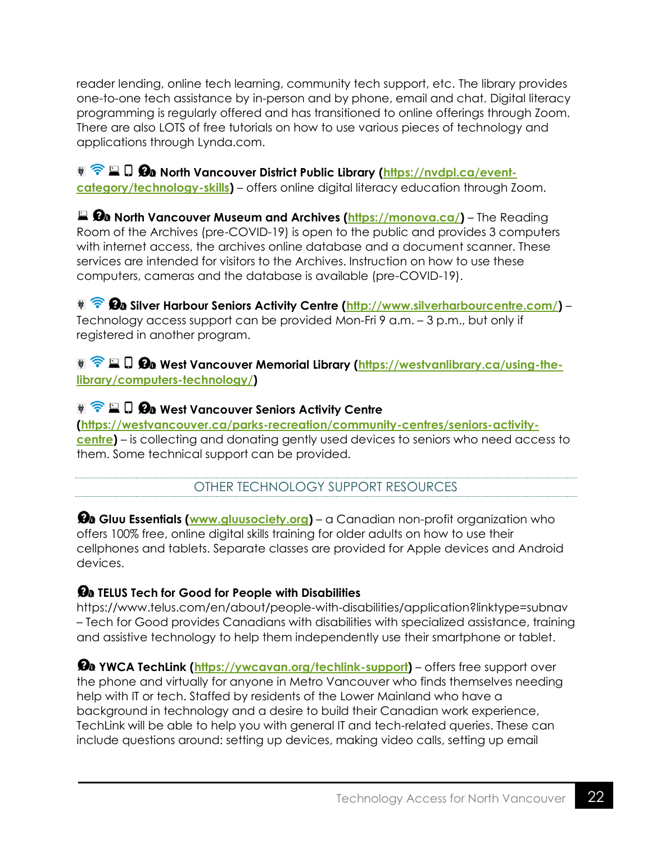reader lending, online tech learning, community tech support, etc. The library provides one-to-one tech assistance by in-person and by phone, email and chat. Digital literacy programming is regularly offered and has transitioned to online offerings through Zoom. There are also LOTS of free tutorials on how to use various pieces of technology and applications through Lynda.com.

**We Quilt Bu North Vancouver District Public Library [\(https://nvdpl.ca/event](https://nvdpl.ca/event-category/technology-skills)[category/technology-skills\)](https://nvdpl.ca/event-category/technology-skills)** – offers online digital literacy education through Zoom.

**North Vancouver Museum and Archives [\(https://monova.ca/\)](https://monova.ca/)** – The Reading Room of the Archives (pre-COVID-19) is open to the public and provides 3 computers with internet access, the archives online database and a document scanner. These services are intended for visitors to the Archives. Instruction on how to use these computers, cameras and the database is available (pre-COVID-19).

**Ba** Silver Harbour Seniors Activity Centre [\(http://www.silverharbourcentre.com/\)](http://www.silverharbourcentre.com/) – Technology access support can be provided Mon-Fri 9 a.m. – 3 p.m., but only if registered in another program.

**WESE D Øa West Vancouver Memorial Library** [\(https://westvanlibrary.ca/using-the](https://westvanlibrary.ca/using-the-library/computers-technology/)**[library/computers-technology/\)](https://westvanlibrary.ca/using-the-library/computers-technology/)** 

## **WEST LI On West Vancouver Seniors Activity Centre**

**[\(https://westvancouver.ca/parks-recreation/community-centres/seniors-activity](https://westvancouver.ca/parks-recreation/community-centres/seniors-activity-centre)[centre\)](https://westvancouver.ca/parks-recreation/community-centres/seniors-activity-centre)** – is collecting and donating gently used devices to seniors who need access to them. Some technical support can be provided.

OTHER TECHNOLOGY SUPPORT RESOURCES

<span id="page-22-0"></span>**Gluu Essentials [\(www.gluusociety.org\)](http://www.gluusociety.org/)** – a Canadian non-profit organization who offers 100% free, online digital skills training for older adults on how to use their cellphones and tablets. Separate classes are provided for Apple devices and Android devices.

## **TELUS Tech for Good for People with Disabilities**

<https://www.telus.com/en/about/people-with-disabilities/application?linktype=subnav> – Tech for Good provides Canadians with disabilities with specialized assistance, training and assistive technology to help them independently use their smartphone or tablet.

*Ha* YWCA TechLink [\(https://ywcavan.org/techlink-support\)](https://ywcavan.org/techlink-support) – offers free support over the phone and virtually for anyone in Metro Vancouver who finds themselves needing help with IT or tech. Staffed by residents of the Lower Mainland who have a background in technology and a desire to build their Canadian work experience, TechLink will be able to help you with general IT and tech-related queries. These can include questions around: setting up devices, making video calls, setting up email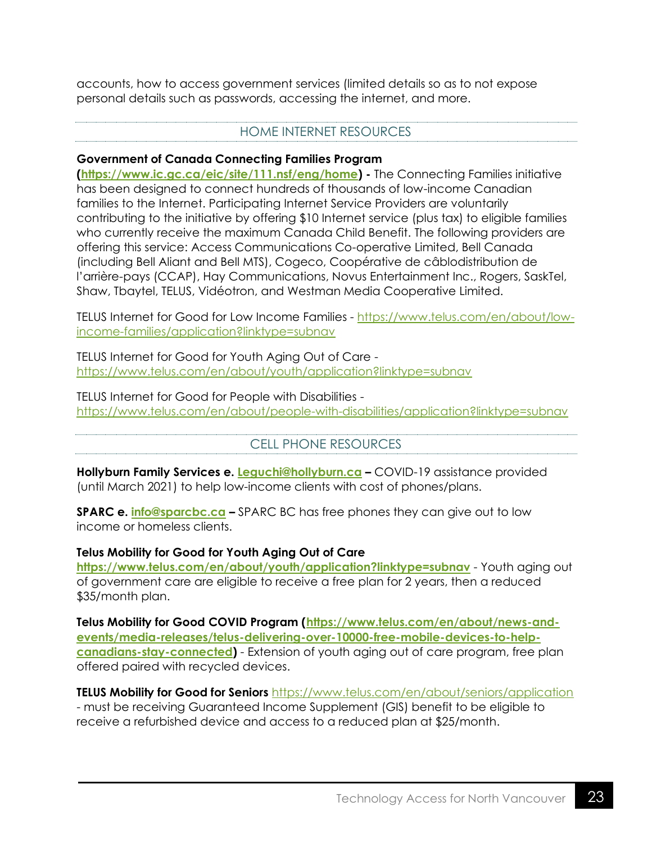accounts, how to access government services (limited details so as to not expose personal details such as passwords, accessing the internet, and more.

#### HOME INTERNET RESOURCES

#### <span id="page-23-0"></span>**Government of Canada Connecting Families Program**

**[\(https://www.ic.gc.ca/eic/site/111.nsf/eng/home\)](https://www.ic.gc.ca/eic/site/111.nsf/eng/home) -** The Connecting Families initiative has been designed to connect hundreds of thousands of low-income Canadian families to the Internet. Participating Internet Service Providers are voluntarily contributing to the initiative by offering \$10 Internet service (plus tax) to eligible families who currently receive the maximum Canada Child Benefit. The following providers are offering this service: Access Communications Co-operative Limited, Bell Canada (including Bell Aliant and Bell MTS), Cogeco, Coopérative de câblodistribution de l'arrière-pays (CCAP), Hay Communications, Novus Entertainment Inc., Rogers, SaskTel, Shaw, Tbaytel, TELUS, Vidéotron, and Westman Media Cooperative Limited.

TELUS Internet for Good for Low Income Families - [https://www.telus.com/en/about/low](https://www.telus.com/en/about/low-income-families/application?linktype=subnav)[income-families/application?linktype=subnav](https://www.telus.com/en/about/low-income-families/application?linktype=subnav)

TELUS Internet for Good for Youth Aging Out of Care <https://www.telus.com/en/about/youth/application?linktype=subnav>

TELUS Internet for Good for People with Disabilities <https://www.telus.com/en/about/people-with-disabilities/application?linktype=subnav>

#### CELL PHONE RESOURCES

<span id="page-23-1"></span>**Hollyburn Family Services e. [Leguchi@hollyburn.ca](mailto:Leguchi@hollyburn.ca) –** COVID-19 assistance provided (until March 2021) to help low-income clients with cost of phones/plans.

**SPARC e. [info@sparcbc.ca](mailto:info@sparcbc.ca) –** SPARC BC has free phones they can give out to low income or homeless clients.

#### **Telus Mobility for Good for Youth Aging Out of Care**

**<https://www.telus.com/en/about/youth/application?linktype=subnav>** - Youth aging out of government care are eligible to receive a free plan for 2 years, then a reduced \$35/month plan.

**Telus Mobility for Good COVID Program [\(https://www.telus.com/en/about/news-and](https://www.telus.com/en/about/news-and-events/media-releases/telus-delivering-over-10000-free-mobile-devices-to-help-canadians-stay-connected)[events/media-releases/telus-delivering-over-10000-free-mobile-devices-to-help](https://www.telus.com/en/about/news-and-events/media-releases/telus-delivering-over-10000-free-mobile-devices-to-help-canadians-stay-connected)[canadians-stay-connected\)](https://www.telus.com/en/about/news-and-events/media-releases/telus-delivering-over-10000-free-mobile-devices-to-help-canadians-stay-connected)** - Extension of youth aging out of care program, free plan offered paired with recycled devices.

**TELUS Mobility for Good for Seniors** <https://www.telus.com/en/about/seniors/application> - must be receiving Guaranteed Income Supplement (GIS) benefit to be eligible to receive a refurbished device and access to a reduced plan at \$25/month.